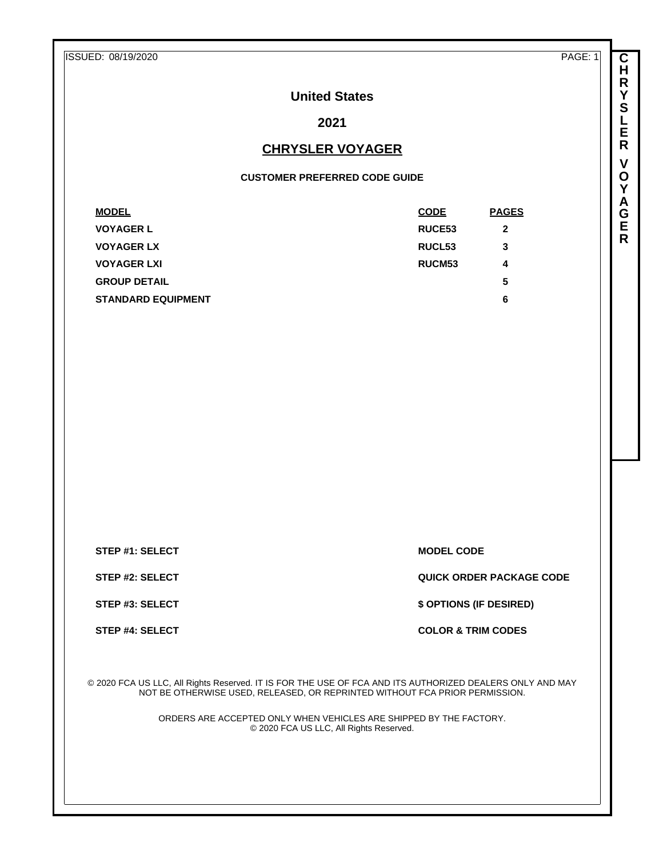ISSUED: 08/19/2020 PAGE: 1

**United States**

**2021**

## **CHRYSLER VOYAGER**

## **CUSTOMER PREFERRED CODE GUIDE**

| <b>MODEL</b>              | <b>CODE</b>        | <b>PAGES</b> |
|---------------------------|--------------------|--------------|
| <b>VOYAGER L</b>          | <b>RUCE53</b>      | $\mathbf{2}$ |
| <b>VOYAGER LX</b>         | RUCL <sub>53</sub> | 3            |
| <b>VOYAGER LXI</b>        | <b>RUCM53</b>      | 4            |
| <b>GROUP DETAIL</b>       |                    | 5            |
| <b>STANDARD EQUIPMENT</b> |                    | 6            |

**STEP #1: SELECT MODEL CODE** 

**STEP #2: SELECT QUICK ORDER PACKAGE CODE**

**STEP #3: SELECT \$ OPTIONS (IF DESIRED)**

**STEP #4: SELECT COLOR & TRIM CODES** 

© 2020 FCA US LLC, All Rights Reserved. IT IS FOR THE USE OF FCA AND ITS AUTHORIZED DEALERS ONLY AND MAY NOT BE OTHERWISE USED, RELEASED, OR REPRINTED WITHOUT FCA PRIOR PERMISSION.

> ORDERS ARE ACCEPTED ONLY WHEN VEHICLES ARE SHIPPED BY THE FACTORY. © 2020 FCA US LLC, All Rights Reserved.

**R Y S L E R V O Y A G E R**

**C H**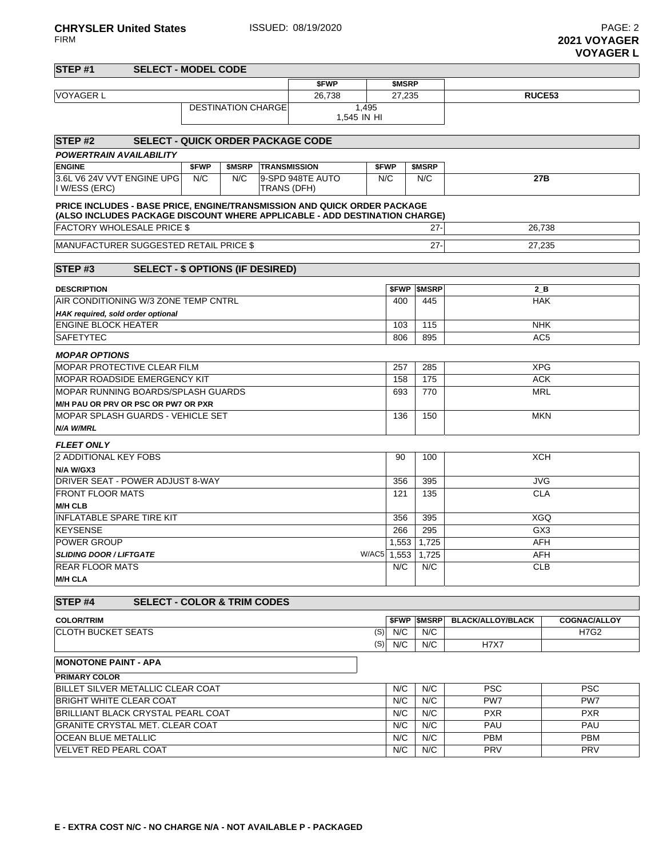FIRM **2021 VOYAGER VOYAGER L**

| STEP <sub>#1</sub><br><b>SELECT - MODEL CODE</b>                                                                                                       |       |                           |                     |                  |                      |        |                          |                          |                     |  |
|--------------------------------------------------------------------------------------------------------------------------------------------------------|-------|---------------------------|---------------------|------------------|----------------------|--------|--------------------------|--------------------------|---------------------|--|
| \$FWP                                                                                                                                                  |       |                           |                     |                  |                      | \$MSRP |                          |                          |                     |  |
| <b>VOYAGER L</b><br>26,738                                                                                                                             |       |                           |                     |                  |                      | 27,235 |                          | RUCE <sub>53</sub>       |                     |  |
|                                                                                                                                                        |       | <b>DESTINATION CHARGE</b> |                     |                  | 1,495<br>1,545 IN HI |        |                          |                          |                     |  |
| <b>SELECT - QUICK ORDER PACKAGE CODE</b><br>STEP#2                                                                                                     |       |                           |                     |                  |                      |        |                          |                          |                     |  |
| <b>POWERTRAIN AVAILABILITY</b>                                                                                                                         |       |                           |                     |                  |                      |        |                          |                          |                     |  |
| <b>ENGINE</b>                                                                                                                                          | \$FWP | \$MSRP                    | <b>TRANSMISSION</b> |                  | \$FWP                |        | \$MSRP                   |                          |                     |  |
| 3.6L V6 24V VVT ENGINE UPG<br>I W/ESS (ERC)                                                                                                            | N/C   | N/C                       | TRANS (DFH)         | 9-SPD 948TE AUTO | N/C                  |        | N/C                      | 27B                      |                     |  |
| PRICE INCLUDES - BASE PRICE, ENGINE/TRANSMISSION AND QUICK ORDER PACKAGE<br>(ALSO INCLUDES PACKAGE DISCOUNT WHERE APPLICABLE - ADD DESTINATION CHARGE) |       |                           |                     |                  |                      |        |                          |                          |                     |  |
| <b>FACTORY WHOLESALE PRICE \$</b>                                                                                                                      |       |                           |                     |                  |                      |        | $27 -$                   | 26,738                   |                     |  |
| MANUFACTURER SUGGESTED RETAIL PRICE \$                                                                                                                 |       |                           |                     |                  |                      |        | $27-$                    | 27,235                   |                     |  |
|                                                                                                                                                        |       |                           |                     |                  |                      |        |                          |                          |                     |  |
| STEP#3<br><b>SELECT - \$ OPTIONS (IF DESIRED)</b>                                                                                                      |       |                           |                     |                  |                      |        |                          |                          |                     |  |
| <b>DESCRIPTION</b>                                                                                                                                     |       |                           |                     |                  |                      |        | <b><i>SFWP SMSRP</i></b> | $2$ B                    |                     |  |
| AIR CONDITIONING W/3 ZONE TEMP CNTRL                                                                                                                   |       |                           |                     |                  |                      | 400    | 445                      | <b>HAK</b>               |                     |  |
| HAK required, sold order optional                                                                                                                      |       |                           |                     |                  |                      |        |                          |                          |                     |  |
| <b>ENGINE BLOCK HEATER</b>                                                                                                                             |       |                           |                     |                  |                      | 103    | 115                      | <b>NHK</b>               |                     |  |
| <b>SAFETYTEC</b>                                                                                                                                       |       |                           |                     |                  |                      | 806    | 895                      | AC <sub>5</sub>          |                     |  |
| <b>MOPAR OPTIONS</b>                                                                                                                                   |       |                           |                     |                  |                      |        |                          |                          |                     |  |
| MOPAR PROTECTIVE CLEAR FILM                                                                                                                            |       |                           |                     |                  |                      | 257    | 285                      | <b>XPG</b>               |                     |  |
| MOPAR ROADSIDE EMERGENCY KIT                                                                                                                           |       |                           |                     |                  |                      | 158    | 175                      | <b>ACK</b>               |                     |  |
| MOPAR RUNNING BOARDS/SPLASH GUARDS                                                                                                                     |       |                           |                     |                  |                      | 693    | 770                      | <b>MRL</b>               |                     |  |
| M/H PAU OR PRV OR PSC OR PW7 OR PXR                                                                                                                    |       |                           |                     |                  |                      |        |                          |                          |                     |  |
| MOPAR SPLASH GUARDS - VEHICLE SET                                                                                                                      |       |                           |                     |                  |                      | 136    | 150                      | <b>MKN</b>               |                     |  |
| N/A W/MRL                                                                                                                                              |       |                           |                     |                  |                      |        |                          |                          |                     |  |
| <b>FLEET ONLY</b>                                                                                                                                      |       |                           |                     |                  |                      |        |                          |                          |                     |  |
| 2 ADDITIONAL KEY FOBS                                                                                                                                  |       |                           |                     |                  |                      | 90     | 100                      | <b>XCH</b>               |                     |  |
| N/A W/GX3                                                                                                                                              |       |                           |                     |                  |                      |        |                          |                          |                     |  |
| DRIVER SEAT - POWER ADJUST 8-WAY                                                                                                                       |       |                           |                     |                  |                      | 356    | 395                      | <b>JVG</b>               |                     |  |
| <b>FRONT FLOOR MATS</b>                                                                                                                                |       |                           |                     |                  |                      | 121    | 135                      | <b>CLA</b>               |                     |  |
| <b>M/H CLB</b>                                                                                                                                         |       |                           |                     |                  |                      |        |                          |                          |                     |  |
| <b>INFLATABLE SPARE TIRE KIT</b>                                                                                                                       |       |                           |                     |                  |                      | 356    | 395                      | <b>XGQ</b>               |                     |  |
| <b>KEYSENSE</b><br><b>POWER GROUP</b>                                                                                                                  |       |                           |                     |                  |                      | 266    | 295                      | GX3                      |                     |  |
| <b>SLIDING DOOR / LIFTGATE</b>                                                                                                                         |       |                           |                     |                  | W/AC5 1,553          |        | 1,553 1,725<br>1.725     | <b>AFH</b><br>AFH        |                     |  |
| <b>REAR FLOOR MATS</b>                                                                                                                                 |       |                           |                     |                  |                      | N/C    | N/C                      | <b>CLB</b>               |                     |  |
| <b>M/H CLA</b>                                                                                                                                         |       |                           |                     |                  |                      |        |                          |                          |                     |  |
| <b>SELECT - COLOR &amp; TRIM CODES</b><br>STEP <sub>#4</sub>                                                                                           |       |                           |                     |                  |                      |        |                          |                          |                     |  |
| <b>COLOR/TRIM</b>                                                                                                                                      |       |                           |                     |                  |                      |        | <b>\$FWP \$MSRP</b>      | <b>BLACK/ALLOY/BLACK</b> | <b>COGNAC/ALLOY</b> |  |
| <b>CLOTH BUCKET SEATS</b>                                                                                                                              |       |                           |                     |                  | (S)                  | N/C    | N/C                      |                          | H7G2                |  |
|                                                                                                                                                        |       |                           |                     |                  | (S)                  | N/C    | N/C                      | <b>H7X7</b>              |                     |  |
| <b>MONOTONE PAINT - APA</b>                                                                                                                            |       |                           |                     |                  |                      |        |                          |                          |                     |  |
| <b>PRIMARY COLOR</b>                                                                                                                                   |       |                           |                     |                  |                      |        |                          |                          |                     |  |
| BILLET SILVER METALLIC CLEAR COAT                                                                                                                      |       |                           |                     |                  |                      | N/C    | N/C                      | <b>PSC</b>               | <b>PSC</b>          |  |
| <b>BRIGHT WHITE CLEAR COAT</b>                                                                                                                         |       |                           |                     |                  |                      | N/C    | N/C                      | PW <sub>7</sub>          | PW7                 |  |
| BRILLIANT BLACK CRYSTAL PEARL COAT                                                                                                                     |       |                           |                     |                  |                      | N/C    | N/C                      | <b>PXR</b>               | <b>PXR</b>          |  |
| <b>GRANITE CRYSTAL MET. CLEAR COAT</b>                                                                                                                 |       |                           |                     |                  |                      | N/C    | N/C                      | PAU                      | PAU                 |  |
| OCEAN BLUE METALLIC                                                                                                                                    |       |                           |                     |                  |                      | N/C    | N/C                      | <b>PBM</b>               | <b>PBM</b>          |  |

VELVET RED PEARL COAT **N/C N/C PRV** PRV PRV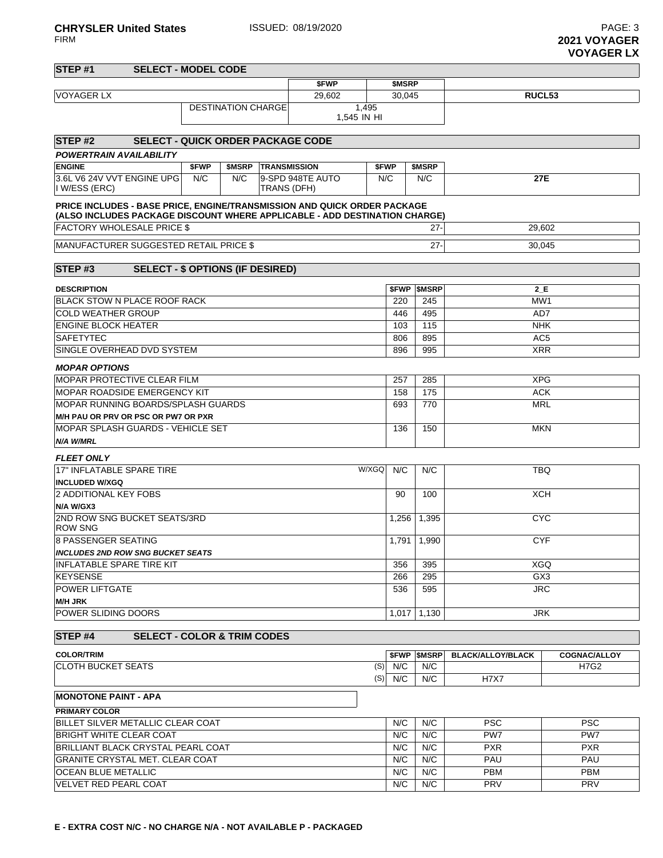**2021 VOYAGER VOYAGER LX**

| STEP <sub>#1</sub>                                                                                                                                     | <b>SELECT - MODEL CODE</b>              |       |                           |                    |                     |        |            |                          |                          |                     |  |
|--------------------------------------------------------------------------------------------------------------------------------------------------------|-----------------------------------------|-------|---------------------------|--------------------|---------------------|--------|------------|--------------------------|--------------------------|---------------------|--|
|                                                                                                                                                        |                                         |       |                           |                    | \$FWP               |        | \$MSRP     |                          |                          |                     |  |
| <b>VOYAGER LX</b>                                                                                                                                      |                                         |       | 29,602                    |                    |                     | 30,045 |            | RUCL <sub>53</sub>       |                          |                     |  |
|                                                                                                                                                        |                                         |       | <b>DESTINATION CHARGE</b> |                    |                     | 1,495  |            |                          |                          |                     |  |
|                                                                                                                                                        | 1,545 IN HI                             |       |                           |                    |                     |        |            |                          |                          |                     |  |
| STEP <sub>#2</sub><br><b>SELECT - QUICK ORDER PACKAGE CODE</b>                                                                                         |                                         |       |                           |                    |                     |        |            |                          |                          |                     |  |
| <b>POWERTRAIN AVAILABILITY</b>                                                                                                                         |                                         |       |                           |                    |                     |        |            |                          |                          |                     |  |
| <b>ENGINE</b>                                                                                                                                          |                                         | \$FWP | \$MSRP                    |                    | <b>TRANSMISSION</b> |        | \$FWP      | \$MSRP                   |                          |                     |  |
| 3.6L V6 24V VVT ENGINE UPG                                                                                                                             |                                         | N/C   | N/C                       |                    | 9-SPD 948TE AUTO    |        | N/C        | N/C                      | 27E                      |                     |  |
| I W/ESS (ERC)                                                                                                                                          |                                         |       |                           | <b>TRANS (DFH)</b> |                     |        |            |                          |                          |                     |  |
| PRICE INCLUDES - BASE PRICE, ENGINE/TRANSMISSION AND QUICK ORDER PACKAGE<br>(ALSO INCLUDES PACKAGE DISCOUNT WHERE APPLICABLE - ADD DESTINATION CHARGE) |                                         |       |                           |                    |                     |        |            |                          |                          |                     |  |
| <b>FACTORY WHOLESALE PRICE \$</b>                                                                                                                      |                                         |       |                           |                    |                     |        |            | $27 -$                   | 29,602                   |                     |  |
| MANUFACTURER SUGGESTED RETAIL PRICE \$                                                                                                                 |                                         |       |                           |                    |                     |        |            | $27 -$                   | 30,045                   |                     |  |
| STEP <sub>#3</sub>                                                                                                                                     | <b>SELECT - \$ OPTIONS (IF DESIRED)</b> |       |                           |                    |                     |        |            |                          |                          |                     |  |
| <b>DESCRIPTION</b>                                                                                                                                     |                                         |       |                           |                    |                     |        | \$FWP      | <b>SMSRP</b>             | 2 E                      |                     |  |
| <b>BLACK STOW N PLACE ROOF RACK</b>                                                                                                                    |                                         |       |                           |                    |                     |        | 220        | 245                      | MW1                      |                     |  |
| <b>COLD WEATHER GROUP</b>                                                                                                                              |                                         |       |                           |                    |                     |        | 446        | 495                      | AD7                      |                     |  |
| <b>ENGINE BLOCK HEATER</b>                                                                                                                             |                                         |       |                           |                    |                     |        | 103        | 115                      | <b>NHK</b>               |                     |  |
| <b>SAFETYTEC</b>                                                                                                                                       |                                         |       |                           |                    |                     |        | 806        | 895                      | AC <sub>5</sub>          |                     |  |
| SINGLE OVERHEAD DVD SYSTEM                                                                                                                             |                                         |       |                           |                    |                     |        | 896        | 995                      | <b>XRR</b>               |                     |  |
| <b>MOPAR OPTIONS</b>                                                                                                                                   |                                         |       |                           |                    |                     |        |            |                          |                          |                     |  |
| <b>IMOPAR PROTECTIVE CLEAR FILM</b>                                                                                                                    |                                         |       |                           |                    |                     |        | 257        | 285                      | <b>XPG</b>               |                     |  |
| <b>IMOPAR ROADSIDE EMERGENCY KIT</b>                                                                                                                   |                                         |       |                           |                    |                     |        | 158        | 175                      | <b>ACK</b>               |                     |  |
| MOPAR RUNNING BOARDS/SPLASH GUARDS                                                                                                                     |                                         |       |                           |                    |                     |        | 693        | 770                      | <b>MRL</b>               |                     |  |
| M/H PAU OR PRV OR PSC OR PW7 OR PXR                                                                                                                    |                                         |       |                           |                    |                     |        |            |                          |                          |                     |  |
| MOPAR SPLASH GUARDS - VEHICLE SET                                                                                                                      |                                         |       |                           |                    |                     |        | 136        | 150                      | <b>MKN</b>               |                     |  |
| N/A W/MRL                                                                                                                                              |                                         |       |                           |                    |                     |        |            |                          |                          |                     |  |
| <b>FLEET ONLY</b>                                                                                                                                      |                                         |       |                           |                    |                     |        |            |                          |                          |                     |  |
| 17" INFLATABLE SPARE TIRE                                                                                                                              |                                         |       |                           |                    |                     | W/XGQ  | N/C        | N/C                      | TBQ                      |                     |  |
| <b>INCLUDED W/XGQ</b>                                                                                                                                  |                                         |       |                           |                    |                     |        |            |                          |                          |                     |  |
| 2 ADDITIONAL KEY FOBS                                                                                                                                  |                                         |       |                           |                    |                     |        | 90         | 100                      | <b>XCH</b>               |                     |  |
| N/A W/GX3                                                                                                                                              |                                         |       |                           |                    |                     |        |            |                          |                          |                     |  |
| 2ND ROW SNG BUCKET SEATS/3RD<br><b>ROW SNG</b>                                                                                                         |                                         |       |                           |                    |                     |        | 1,256      | 1,395                    | <b>CYC</b>               |                     |  |
| <b>8 PASSENGER SEATING</b>                                                                                                                             |                                         |       |                           |                    |                     |        |            | 1,791 1,990              | <b>CYF</b>               |                     |  |
| <b>INCLUDES 2ND ROW SNG BUCKET SEATS</b>                                                                                                               |                                         |       |                           |                    |                     |        |            |                          |                          |                     |  |
| INFLATABLE SPARE TIRE KIT                                                                                                                              |                                         |       |                           |                    |                     |        | 356        | 395                      | XGQ                      |                     |  |
| <b>KEYSENSE</b>                                                                                                                                        |                                         |       |                           |                    |                     |        | 266        | 295                      | GX <sub>3</sub>          |                     |  |
| <b>POWER LIFTGATE</b>                                                                                                                                  |                                         |       |                           |                    |                     |        | 536        | 595                      | JRC.                     |                     |  |
| <b>M/H JRK</b><br><b>POWER SLIDING DOORS</b>                                                                                                           |                                         |       |                           |                    |                     |        | 1,017      | 1,130                    | <b>JRK</b>               |                     |  |
| STEP <sub>#4</sub>                                                                                                                                     | <b>SELECT - COLOR &amp; TRIM CODES</b>  |       |                           |                    |                     |        |            |                          |                          |                     |  |
| <b>COLOR/TRIM</b>                                                                                                                                      |                                         |       |                           |                    |                     |        |            | <b><i>SFWP SMSRP</i></b> | <b>BLACK/ALLOY/BLACK</b> | <b>COGNAC/ALLOY</b> |  |
| ICLOTH BUCKET SEATS                                                                                                                                    |                                         |       |                           |                    |                     |        | $(S)$ N/C  | N/C                      |                          | H7G2                |  |
|                                                                                                                                                        |                                         |       |                           |                    |                     |        | $(S)$ N/C  | N/C                      | <b>H7X7</b>              |                     |  |
| <b>MONOTONE PAINT - APA</b>                                                                                                                            |                                         |       |                           |                    |                     |        |            |                          |                          |                     |  |
| <b>PRIMARY COLOR</b>                                                                                                                                   |                                         |       |                           |                    |                     |        |            |                          |                          |                     |  |
| BILLET SILVER METALLIC CLEAR COAT                                                                                                                      |                                         |       |                           |                    |                     |        | N/C        | N/C                      | <b>PSC</b>               | <b>PSC</b>          |  |
| <b>BRIGHT WHITE CLEAR COAT</b>                                                                                                                         |                                         |       |                           |                    |                     |        | N/C        | N/C                      | PW7                      | PW7                 |  |
| BRILLIANT BLACK CRYSTAL PEARL COAT                                                                                                                     |                                         |       |                           |                    |                     |        | N/C        | N/C                      | <b>PXR</b>               | <b>PXR</b>          |  |
| GRANITE CRYSTAL MET. CLEAR COAT                                                                                                                        |                                         |       |                           |                    |                     |        | N/C        | N/C                      | PAU                      | PAU                 |  |
| <b>OCEAN BLUE METALLIC</b>                                                                                                                             |                                         |       |                           |                    |                     |        | N/C        | N/C                      | PBM                      | PBM                 |  |
| VELVET RED PEARL COAT                                                                                                                                  |                                         |       |                           |                    | N/C                 | N/C    | <b>PRV</b> | <b>PRV</b>               |                          |                     |  |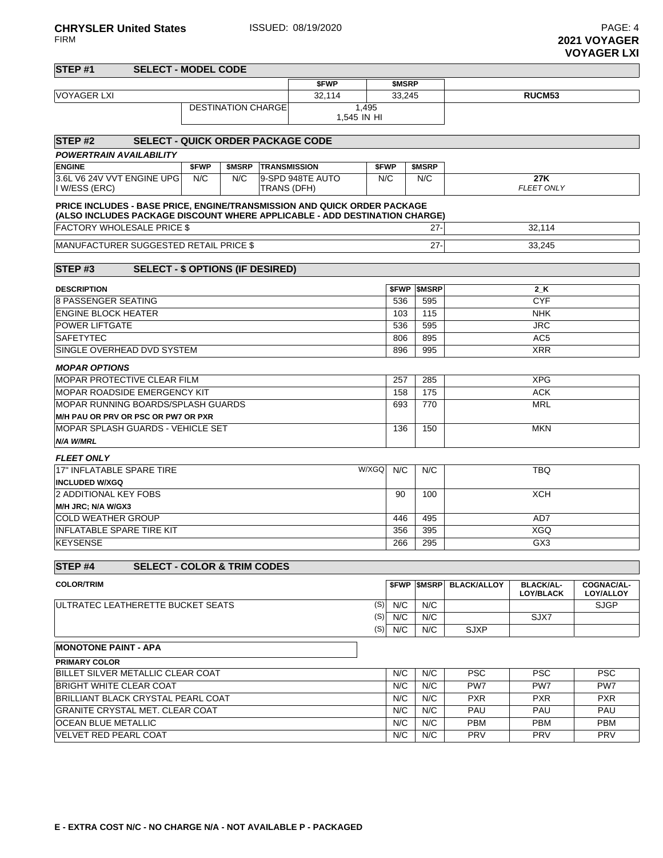**2021 VOYAGER VOYAGER LXI**

| STEP #1<br><b>SELECT - MODEL CODE</b>                                                                                                                  |                               |     |                            |                  |       |        |                   |                    |                                      |                                |  |  |
|--------------------------------------------------------------------------------------------------------------------------------------------------------|-------------------------------|-----|----------------------------|------------------|-------|--------|-------------------|--------------------|--------------------------------------|--------------------------------|--|--|
|                                                                                                                                                        |                               |     |                            | \$FWP            |       | \$MSRP |                   |                    |                                      |                                |  |  |
| <b>VOYAGER LXI</b>                                                                                                                                     |                               |     |                            | 32.114           |       | 33,245 |                   |                    | RUCM <sub>53</sub>                   |                                |  |  |
|                                                                                                                                                        |                               |     |                            |                  |       |        |                   |                    |                                      |                                |  |  |
| STEP#2<br><b>SELECT - QUICK ORDER PACKAGE CODE</b>                                                                                                     |                               |     |                            |                  |       |        |                   |                    |                                      |                                |  |  |
| <b>POWERTRAIN AVAILABILITY</b>                                                                                                                         |                               |     |                            |                  |       |        |                   |                    |                                      |                                |  |  |
| <b>ENGINE</b>                                                                                                                                          | \$FWP                         |     | <b>\$MSRP TRANSMISSION</b> |                  | \$FWP |        | \$MSRP            |                    |                                      |                                |  |  |
| 3.6L V6 24V VVT ENGINE UPG<br>I W/ESS (ERC)                                                                                                            | N/C                           | N/C | TRANS (DFH)                | 9-SPD 948TE AUTO | N/C   |        | N/C               |                    | 27K<br><b>FLEET ONLY</b>             |                                |  |  |
| PRICE INCLUDES - BASE PRICE, ENGINE/TRANSMISSION AND QUICK ORDER PACKAGE<br>(ALSO INCLUDES PACKAGE DISCOUNT WHERE APPLICABLE - ADD DESTINATION CHARGE) |                               |     |                            |                  |       |        |                   |                    |                                      |                                |  |  |
| <b>FACTORY WHOLESALE PRICE \$</b>                                                                                                                      |                               |     |                            |                  |       |        | $27 -$            |                    | 32,114                               |                                |  |  |
| MANUFACTURER SUGGESTED RETAIL PRICE \$                                                                                                                 |                               |     |                            |                  |       |        | $27 -$            |                    | 33,245                               |                                |  |  |
| <b>SELECT - \$ OPTIONS (IF DESIRED)</b><br>STEP <sub>#3</sub>                                                                                          |                               |     |                            |                  |       |        |                   |                    |                                      |                                |  |  |
| <b>DESCRIPTION</b>                                                                                                                                     |                               |     |                            |                  |       |        | <b>SFWP SMSRP</b> |                    | 2 K                                  |                                |  |  |
| <b>8 PASSENGER SEATING</b>                                                                                                                             |                               |     |                            |                  |       | 536    | 595               |                    | <b>CYF</b>                           |                                |  |  |
| <b>ENGINE BLOCK HEATER</b>                                                                                                                             |                               |     |                            |                  |       | 103    | 115               |                    | <b>NHK</b>                           |                                |  |  |
| <b>POWER LIFTGATE</b>                                                                                                                                  |                               |     |                            |                  |       | 536    | 595               |                    | <b>JRC</b>                           |                                |  |  |
| <b>SAFETYTEC</b>                                                                                                                                       | AC <sub>5</sub><br>806<br>895 |     |                            |                  |       |        |                   |                    |                                      |                                |  |  |
| SINGLE OVERHEAD DVD SYSTEM                                                                                                                             |                               |     |                            |                  |       | 896    | 995               | <b>XRR</b>         |                                      |                                |  |  |
| <b>MOPAR OPTIONS</b>                                                                                                                                   |                               |     |                            |                  |       |        |                   |                    |                                      |                                |  |  |
| <b>MOPAR PROTECTIVE CLEAR FILM</b>                                                                                                                     |                               |     |                            |                  |       | 257    | 285               |                    | <b>XPG</b>                           |                                |  |  |
| <b>IMOPAR ROADSIDE EMERGENCY KIT</b>                                                                                                                   |                               |     |                            |                  |       | 158    | 175               | <b>ACK</b>         |                                      |                                |  |  |
| IMOPAR RUNNING BOARDS/SPLASH GUARDS                                                                                                                    |                               |     |                            |                  |       | 693    | 770               |                    | <b>MRL</b>                           |                                |  |  |
| <b>M/H PAU OR PRV OR PSC OR PW7 OR PXR</b>                                                                                                             |                               |     |                            |                  |       |        |                   |                    |                                      |                                |  |  |
| MOPAR SPLASH GUARDS - VEHICLE SET                                                                                                                      |                               |     |                            |                  |       | 136    | 150               | MKN                |                                      |                                |  |  |
| N/A W/MRL                                                                                                                                              |                               |     |                            |                  |       |        |                   |                    |                                      |                                |  |  |
| <b>FLEET ONLY</b>                                                                                                                                      |                               |     |                            |                  |       |        |                   |                    |                                      |                                |  |  |
| 17" INFLATABLE SPARE TIRE                                                                                                                              |                               |     |                            |                  | W/XGQ | N/C    | N/C               |                    | <b>TBQ</b>                           |                                |  |  |
| <b>INCLUDED W/XGQ</b>                                                                                                                                  |                               |     |                            |                  |       |        |                   |                    |                                      |                                |  |  |
| 2 ADDITIONAL KEY FOBS                                                                                                                                  |                               |     |                            |                  |       | 90     | 100               |                    | <b>XCH</b>                           |                                |  |  |
| M/H JRC; N/A W/GX3                                                                                                                                     |                               |     |                            |                  |       |        |                   |                    |                                      |                                |  |  |
| <b>COLD WEATHER GROUP</b>                                                                                                                              |                               |     |                            |                  |       | 446    | 495               |                    | AD7                                  |                                |  |  |
| <b>INFLATABLE SPARE TIRE KIT</b>                                                                                                                       |                               |     |                            |                  |       | 356    | 395               |                    | <b>XGQ</b>                           |                                |  |  |
| <b>KEYSENSE</b>                                                                                                                                        |                               |     |                            |                  |       | 266    | 295               |                    | GX <sub>3</sub>                      |                                |  |  |
| STEP <sub>#4</sub><br><b>SELECT - COLOR &amp; TRIM CODES</b>                                                                                           |                               |     |                            |                  |       |        |                   |                    |                                      |                                |  |  |
| <b>COLOR/TRIM</b>                                                                                                                                      |                               |     |                            |                  |       |        | <b>SFWP SMSRP</b> | <b>BLACK/ALLOY</b> | <b>BLACK/AL-</b><br><b>LOY/BLACK</b> | <b>COGNAC/AL-</b><br>LOY/ALLOY |  |  |
| ULTRATEC LEATHERETTE BUCKET SEATS                                                                                                                      |                               |     |                            |                  | (S)   | N/C    | N/C               |                    |                                      | <b>SJGP</b>                    |  |  |
|                                                                                                                                                        |                               |     |                            |                  | (S)   | N/C    | N/C               |                    | SJX7                                 |                                |  |  |
|                                                                                                                                                        |                               |     |                            |                  | (S)   | N/C    | N/C               | <b>SJXP</b>        |                                      |                                |  |  |
| <b>MONOTONE PAINT - APA</b>                                                                                                                            |                               |     |                            |                  |       |        |                   |                    |                                      |                                |  |  |
| <b>PRIMARY COLOR</b>                                                                                                                                   |                               |     |                            |                  |       |        |                   |                    |                                      |                                |  |  |
| BILLET SILVER METALLIC CLEAR COAT                                                                                                                      |                               |     |                            |                  |       | N/C    | N/C               | <b>PSC</b>         | <b>PSC</b>                           | <b>PSC</b>                     |  |  |
| <b>BRIGHT WHITE CLEAR COAT</b>                                                                                                                         |                               |     |                            |                  |       | N/C    | N/C               | PW7                | PW7                                  | PW7                            |  |  |
| BRILLIANT BLACK CRYSTAL PEARL COAT                                                                                                                     |                               |     |                            |                  |       | N/C    | N/C               | <b>PXR</b>         | <b>PXR</b>                           | <b>PXR</b>                     |  |  |

| BRIGHT WHITE CLEAR COAT            | N/C | N/C | PW <sub>7</sub> | PW7        | PW7        |
|------------------------------------|-----|-----|-----------------|------------|------------|
| BRILLIANT BLACK CRYSTAL PEARL COAT | N/C | N/C | <b>PXR</b>      | <b>PXR</b> | <b>PXR</b> |
| GRANITE CRYSTAL MET. CLEAR COAT    | N/C | N/C | PAU             | PAU        | PAU        |
| OCEAN BLUE METALLIC                | N/C | N/C | <b>PBM</b>      | <b>PBM</b> | <b>PBM</b> |
| VELVET RED PEARL COAT              | N/C | N/C | <b>PRV</b>      | <b>PRV</b> | <b>PRV</b> |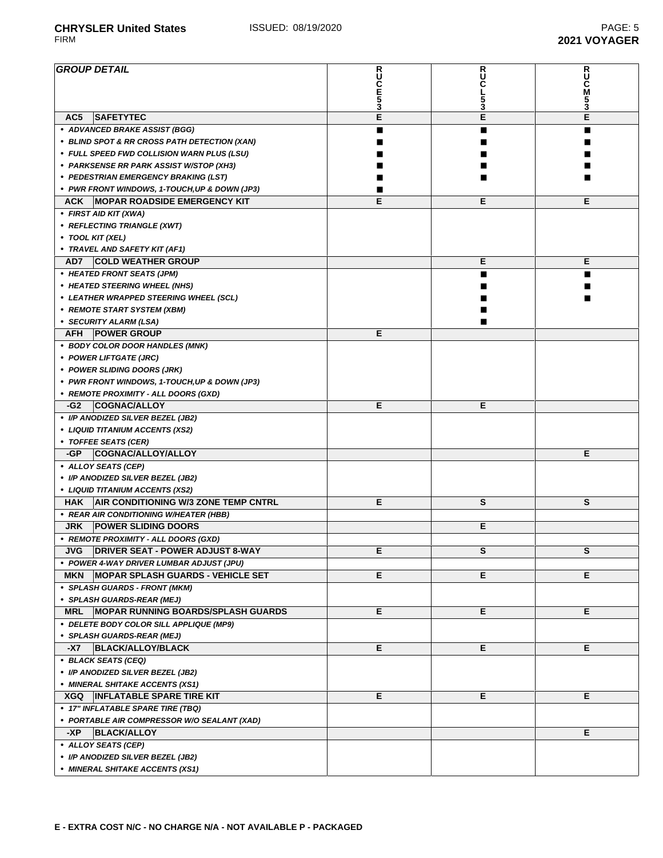## **GROUP DETAIL R U C E 5 3 R U C L 5 3 R U C M 5 3 AC5 SAFETYTEC E E E • ADVANCED BRAKE ASSIST (BGG)** ■ ■ ■ **• BLIND SPOT & RR CROSS PATH DETECTION (XAN)** ■ ■ ■ **• FULL SPEED FWD COLLISION WARN PLUS (LSU)** ■ ■ ■ **• PARKSENSE RR PARK ASSIST W/STOP (XH3)** ■ ■ ■ **• PEDESTRIAN EMERGENCY BRAKING (LST)** ■ ■ ■ **• PWR FRONT WINDOWS, 1-TOUCH,UP & DOWN (JP3)** ■ **ACK MOPAR ROADSIDE EMERGENCY KIT E E E • FIRST AID KIT (XWA) • REFLECTING TRIANGLE (XWT) • TOOL KIT (XEL) • TRAVEL AND SAFETY KIT (AF1) AD7 COLD WEATHER GROUP E E • HEATED FRONT SEATS (JPM)** ■ ■ **• HEATED STEERING WHEEL (NHS)** ■ ■ **• LEATHER WRAPPED STEERING WHEEL (SCL)** ■ ■ **• REMOTE START SYSTEM (XBM)** ■ **• SECURITY ALARM (LSA)** ■ **AFH POWER GROUP E • BODY COLOR DOOR HANDLES (MNK) • POWER LIFTGATE (JRC) • POWER SLIDING DOORS (JRK) • PWR FRONT WINDOWS, 1-TOUCH,UP & DOWN (JP3) • REMOTE PROXIMITY - ALL DOORS (GXD) -G2 COGNAC/ALLOY E E • I/P ANODIZED SILVER BEZEL (JB2) • LIQUID TITANIUM ACCENTS (XS2) • TOFFEE SEATS (CER) -GP COGNAC/ALLOY/ALLOY E • ALLOY SEATS (CEP) • I/P ANODIZED SILVER BEZEL (JB2) • LIQUID TITANIUM ACCENTS (XS2) HAK AIR CONDITIONING W/3 ZONE TEMP CNTRL E S S • REAR AIR CONDITIONING W/HEATER (HBB) JRK POWER SLIDING DOORS E • REMOTE PROXIMITY - ALL DOORS (GXD) JVG DRIVER SEAT - POWER ADJUST 8-WAY E S S • POWER 4-WAY DRIVER LUMBAR ADJUST (JPU) MKN MOPAR SPLASH GUARDS - VEHICLE SET E E E • SPLASH GUARDS - FRONT (MKM) • SPLASH GUARDS-REAR (MEJ) MRL MOPAR RUNNING BOARDS/SPLASH GUARDS E E E • DELETE BODY COLOR SILL APPLIQUE (MP9) • SPLASH GUARDS-REAR (MEJ) -X7 BLACK/ALLOY/BLACK E E E • BLACK SEATS (CEQ) • I/P ANODIZED SILVER BEZEL (JB2) • MINERAL SHITAKE ACCENTS (XS1) XGQ INFLATABLE SPARE TIRE KIT E E E • 17" INFLATABLE SPARE TIRE (TBQ) • PORTABLE AIR COMPRESSOR W/O SEALANT (XAD) -XP BLACK/ALLOY E • ALLOY SEATS (CEP) • I/P ANODIZED SILVER BEZEL (JB2) • MINERAL SHITAKE ACCENTS (XS1)**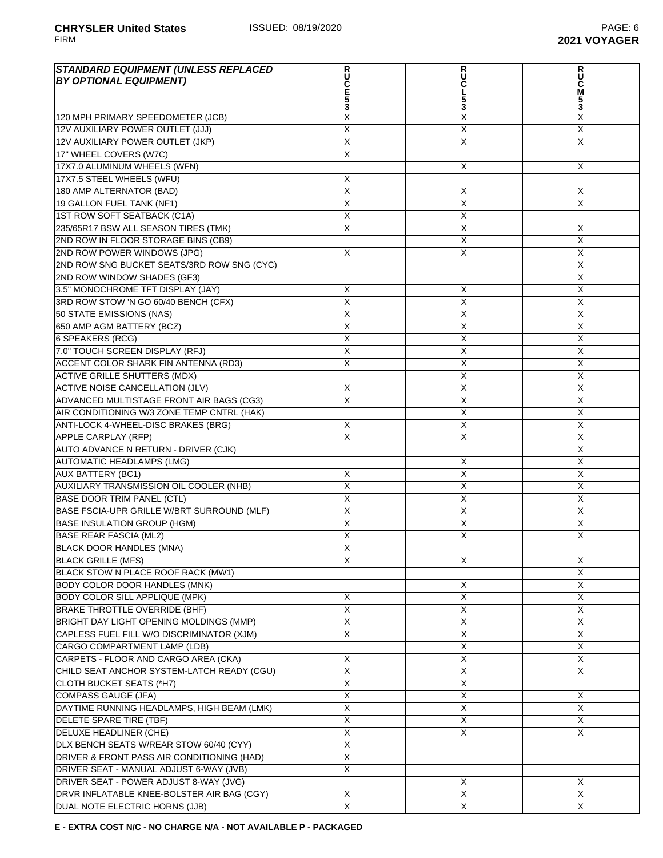**2021 VOYAGER** 

| <b>STANDARD EQUIPMENT (UNLESS REPLACED)</b> |                         |                         |                           |
|---------------------------------------------|-------------------------|-------------------------|---------------------------|
| <b>BY OPTIONAL EQUIPMENT)</b>               |                         | <b>RUC</b>              | <b>RUC</b><br>M           |
|                                             | <b>RUCE53</b>           |                         |                           |
|                                             |                         | $\frac{5}{3}$           | $\frac{5}{3}$             |
| 120 MPH PRIMARY SPEEDOMETER (JCB)           | X                       | Χ                       | X                         |
| 12V AUXILIARY POWER OUTLET (JJJ)            | $\overline{X}$          | X                       | $\overline{\mathsf{x}}$   |
| 12V AUXILIARY POWER OUTLET (JKP)            | $\overline{X}$          | X                       | $\overline{X}$            |
| 17" WHEEL COVERS (W7C)                      | $\overline{\mathsf{x}}$ |                         |                           |
| 17X7.0 ALUMINUM WHEELS (WFN)                |                         | X                       | X                         |
| 17X7.5 STEEL WHEELS (WFU)                   | X                       |                         |                           |
| 180 AMP ALTERNATOR (BAD)                    | $\overline{X}$          | X                       | X                         |
| 19 GALLON FUEL TANK (NF1)                   | X                       | X                       | X                         |
| 1ST ROW SOFT SEATBACK (C1A)                 | X                       | X                       |                           |
| 235/65R17 BSW ALL SEASON TIRES (TMK)        | X                       | X                       | X                         |
| 2ND ROW IN FLOOR STORAGE BINS (CB9)         |                         | X                       | $\times$                  |
| 2ND ROW POWER WINDOWS (JPG)                 | X                       | X                       | $\boldsymbol{\mathsf{X}}$ |
| 2ND ROW SNG BUCKET SEATS/3RD ROW SNG (CYC)  |                         |                         | $\overline{X}$            |
| 2ND ROW WINDOW SHADES (GF3)                 |                         |                         | $\overline{\mathsf{x}}$   |
| 3.5" MONOCHROME TFT DISPLAY (JAY)           | X                       | X                       | $\boldsymbol{\mathsf{X}}$ |
| 3RD ROW STOW 'N GO 60/40 BENCH (CFX)        | $\overline{\mathsf{x}}$ | $\overline{\mathsf{x}}$ | $\sf X$                   |
| 50 STATE EMISSIONS (NAS)                    | X                       | X                       | X                         |
| 650 AMP AGM BATTERY (BCZ)                   | X                       | X                       | $\sf X$                   |
|                                             |                         |                         |                           |
| <b>6 SPEAKERS (RCG)</b>                     | X                       | X                       | $\times$                  |
| 7.0" TOUCH SCREEN DISPLAY (RFJ)             | X                       | X                       | X                         |
| ACCENT COLOR SHARK FIN ANTENNA (RD3)        | $\overline{X}$          | X                       | X                         |
| <b>ACTIVE GRILLE SHUTTERS (MDX)</b>         |                         | $\overline{X}$          | $\overline{X}$            |
| <b>ACTIVE NOISE CANCELLATION (JLV)</b>      | X                       | $\overline{X}$          | $\overline{\mathsf{x}}$   |
| ADVANCED MULTISTAGE FRONT AIR BAGS (CG3)    | $\overline{X}$          | X                       | X                         |
| AIR CONDITIONING W/3 ZONE TEMP CNTRL (HAK)  |                         | X                       | X                         |
| ANTI-LOCK 4-WHEEL-DISC BRAKES (BRG)         | X                       | X                       | $\sf X$                   |
| <b>APPLE CARPLAY (RFP)</b>                  | X                       | X                       | X                         |
| AUTO ADVANCE N RETURN - DRIVER (CJK)        |                         |                         | X                         |
| <b>AUTOMATIC HEADLAMPS (LMG)</b>            |                         | X                       | X                         |
| <b>AUX BATTERY (BC1)</b>                    | X                       | $\overline{\mathsf{x}}$ | $\overline{X}$            |
| AUXILIARY TRANSMISSION OIL COOLER (NHB)     | $\overline{X}$          | $\overline{X}$          | $\overline{\mathsf{x}}$   |
| <b>BASE DOOR TRIM PANEL (CTL)</b>           | $\overline{X}$          | $\overline{X}$          | $\overline{\mathsf{x}}$   |
| BASE FSCIA-UPR GRILLE W/BRT SURROUND (MLF)  | $\overline{\mathsf{x}}$ | X                       | $\sf X$                   |
| <b>BASE INSULATION GROUP (HGM)</b>          | $\overline{X}$          | X                       | X                         |
| <b>BASE REAR FASCIA (ML2)</b>               | X                       | X                       | X                         |
| BLACK DOOR HANDLES (MNA)                    | X                       |                         |                           |
| <b>BLACK GRILLE (MFS)</b>                   | X                       | X                       | X                         |
| BLACK STOW N PLACE ROOF RACK (MW1)          |                         |                         | X                         |
| BODY COLOR DOOR HANDLES (MNK)               |                         | X                       | X                         |
| <b>BODY COLOR SILL APPLIQUE (MPK)</b>       | X                       | $\overline{X}$          | $\overline{X}$            |
| <b>BRAKE THROTTLE OVERRIDE (BHF)</b>        | $\overline{\mathsf{X}}$ | $\overline{\mathsf{X}}$ | $\overline{X}$            |
| BRIGHT DAY LIGHT OPENING MOLDINGS (MMP)     | $\overline{X}$          | X                       | X                         |
| CAPLESS FUEL FILL W/O DISCRIMINATOR (XJM)   | X                       | $\overline{X}$          | X                         |
| <b>CARGO COMPARTMENT LAMP (LDB)</b>         |                         | X                       | X                         |
| CARPETS - FLOOR AND CARGO AREA (CKA)        | X                       | X                       | X                         |
| CHILD SEAT ANCHOR SYSTEM-LATCH READY (CGU)  | $\overline{\mathsf{x}}$ | X                       | X                         |
| <b>CLOTH BUCKET SEATS (*H7)</b>             | X                       | X                       |                           |
| <b>COMPASS GAUGE (JFA)</b>                  | $\overline{X}$          | X                       | X                         |
| DAYTIME RUNNING HEADLAMPS, HIGH BEAM (LMK)  | $\overline{\mathsf{X}}$ | $\overline{X}$          | X                         |
| DELETE SPARE TIRE (TBF)                     | $\overline{X}$          | X                       | X                         |
| DELUXE HEADLINER (CHE)                      | $\overline{\mathsf{X}}$ | X                       | X                         |
| DLX BENCH SEATS W/REAR STOW 60/40 (CYY)     | $\overline{X}$          |                         |                           |
| DRIVER & FRONT PASS AIR CONDITIONING (HAD)  | $\mathsf X$             |                         |                           |
| DRIVER SEAT - MANUAL ADJUST 6-WAY (JVB)     | X                       |                         |                           |
| DRIVER SEAT - POWER ADJUST 8-WAY (JVG)      |                         | X                       | X                         |
| DRVR INFLATABLE KNEE-BOLSTER AIR BAG (CGY)  | X                       | X                       | X                         |

DUAL NOTE ELECTRIC HORNS (JJB) X X X X X

**E - EXTRA COST N/C - NO CHARGE N/A - NOT AVAILABLE P - PACKAGED**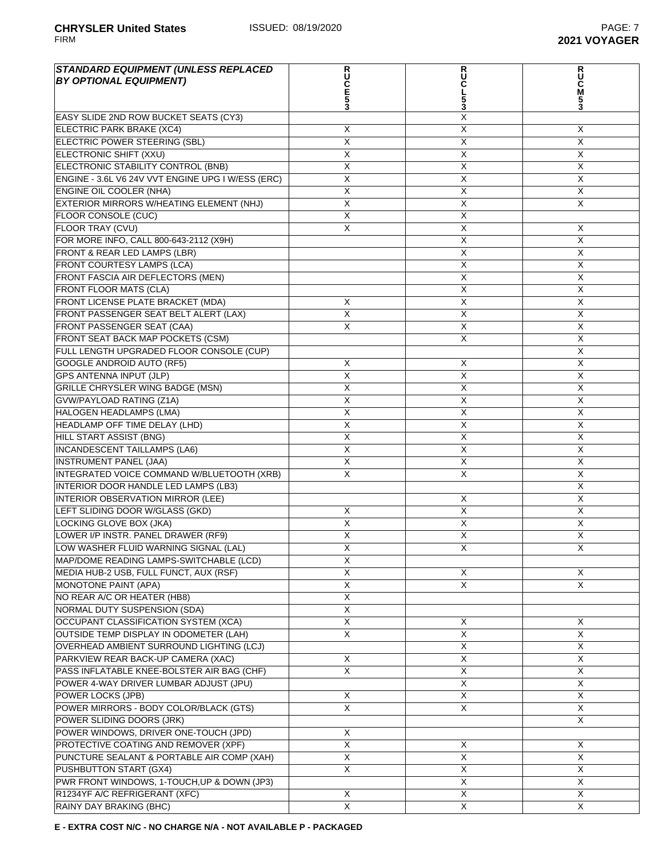| <b>STANDARD EQUIPMENT (UNLESS REPLACED</b>        |                         | R<br>U         |                         |
|---------------------------------------------------|-------------------------|----------------|-------------------------|
| <b>BY OPTIONAL EQUIPMENT)</b>                     | <b>RUCE5</b>            |                | <b>RUC</b><br>M         |
|                                                   |                         |                |                         |
| EASY SLIDE 2ND ROW BUCKET SEATS (CY3)             | 3                       | X              | 3                       |
| ELECTRIC PARK BRAKE (XC4)                         | X                       | X              | X                       |
| ELECTRIC POWER STEERING (SBL)                     | $\overline{\mathsf{x}}$ | X              | $\overline{\mathsf{x}}$ |
| ELECTRONIC SHIFT (XXU)                            | X                       | X              | X                       |
| ELECTRONIC STABILITY CONTROL (BNB)                | X                       | X              | X                       |
| ENGINE - 3.6L V6 24V VVT ENGINE UPG I W/ESS (ERC) | $\times$                | X              | X                       |
| ENGINE OIL COOLER (NHA)                           | X                       | X              | X                       |
| EXTERIOR MIRRORS W/HEATING ELEMENT (NHJ)          | X                       | X              | X                       |
| <b>FLOOR CONSOLE (CUC)</b>                        | X                       | X              |                         |
| <b>FLOOR TRAY (CVU)</b>                           | $\overline{\mathsf{x}}$ | X              | X                       |
| FOR MORE INFO, CALL 800-643-2112 (X9H)            |                         | $\overline{X}$ | $\overline{\mathsf{X}}$ |
| FRONT & REAR LED LAMPS (LBR)                      |                         | X              | X                       |
| FRONT COURTESY LAMPS (LCA)                        |                         | X              | X                       |
| FRONT FASCIA AIR DEFLECTORS (MEN)                 |                         | X              | X                       |
| <b>FRONT FLOOR MATS (CLA)</b>                     |                         | X              | X                       |
| FRONT LICENSE PLATE BRACKET (MDA)                 | X                       | X              | X                       |
| FRONT PASSENGER SEAT BELT ALERT (LAX)             | X                       | X              | X                       |
| FRONT PASSENGER SEAT (CAA)                        | X                       | X              | X                       |
| FRONT SEAT BACK MAP POCKETS (CSM)                 |                         | $\overline{X}$ | X                       |
| FULL LENGTH UPGRADED FLOOR CONSOLE (CUP)          |                         |                | X                       |
| <b>GOOGLE ANDROID AUTO (RF5)</b>                  | X                       | Χ              | X                       |
| <b>GPS ANTENNA INPUT (JLP)</b>                    | $\overline{X}$          | X              | X                       |
| GRILLE CHRYSLER WING BADGE (MSN)                  | X                       | X              | X                       |
| <b>GVW/PAYLOAD RATING (Z1A)</b>                   | X                       | X              | X                       |
| <b>HALOGEN HEADLAMPS (LMA)</b>                    | X                       | X              | X                       |
| HEADLAMP OFF TIME DELAY (LHD)                     | X                       | X              | X                       |
| <b>HILL START ASSIST (BNG)</b>                    | X                       | X              | X                       |
| <b>INCANDESCENT TAILLAMPS (LA6)</b>               | X                       | X              | X                       |
| INSTRUMENT PANEL (JAA)                            | $\overline{X}$          | X              | X                       |
| INTEGRATED VOICE COMMAND W/BLUETOOTH (XRB)        | Χ                       | X              | X                       |
| INTERIOR DOOR HANDLE LED LAMPS (LB3)              |                         |                | X                       |
| <b>INTERIOR OBSERVATION MIRROR (LEE)</b>          |                         | X              | X                       |
| LEFT SLIDING DOOR W/GLASS (GKD)                   | X                       | X              | X                       |
| LOCKING GLOVE BOX (JKA)                           | X                       | X              | X                       |
| LOWER I/P INSTR. PANEL DRAWER (RF9)               | X                       | X              | X                       |
| LOW WASHER FLUID WARNING SIGNAL (LAL)             | Χ                       | X              | X                       |
| MAP/DOME READING LAMPS-SWITCHABLE (LCD)           | X                       |                |                         |
| MEDIA HUB-2 USB, FULL FUNCT, AUX (RSF)            | X                       | X              | X                       |
| MONOTONE PAINT (APA)                              | $\overline{X}$          | X              | $\overline{X}$          |
| NO REAR A/C OR HEATER (HB8)                       | $\overline{X}$          |                |                         |
| NORMAL DUTY SUSPENSION (SDA)                      | X                       |                |                         |
| OCCUPANT CLASSIFICATION SYSTEM (XCA)              | X                       | X              | X                       |
| <b>OUTSIDE TEMP DISPLAY IN ODOMETER (LAH)</b>     | $\mathsf{X}$            | X              | X                       |
| OVERHEAD AMBIENT SURROUND LIGHTING (LCJ)          |                         | X              | X                       |
| PARKVIEW REAR BACK-UP CAMERA (XAC)                | X                       | X              | X                       |
| PASS INFLATABLE KNEE-BOLSTER AIR BAG (CHF)        | $\mathsf{X}$            | X              | X                       |
| POWER 4-WAY DRIVER LUMBAR ADJUST (JPU)            |                         | X              | X                       |
| POWER LOCKS (JPB)                                 | X                       | X              | X                       |
| POWER MIRRORS - BODY COLOR/BLACK (GTS)            | $\overline{X}$          | X              | X                       |
| POWER SLIDING DOORS (JRK)                         |                         |                | X                       |
| POWER WINDOWS, DRIVER ONE-TOUCH (JPD)             | Χ                       |                |                         |
| PROTECTIVE COATING AND REMOVER (XPF)              | $\mathsf{X}$            | X              | X                       |
| PUNCTURE SEALANT & PORTABLE AIR COMP (XAH)        | X                       | Χ              | X                       |
| PUSHBUTTON START (GX4)                            | X                       | X              | X                       |
| PWR FRONT WINDOWS, 1-TOUCH, UP & DOWN (JP3)       |                         | Χ              | X.                      |
| R1234YF A/C REFRIGERANT (XFC)                     | X                       | $\overline{X}$ | X                       |
| RAINY DAY BRAKING (BHC)                           | $\overline{X}$          | $\overline{X}$ | $\overline{X}$          |

**E - EXTRA COST N/C - NO CHARGE N/A - NOT AVAILABLE P - PACKAGED**